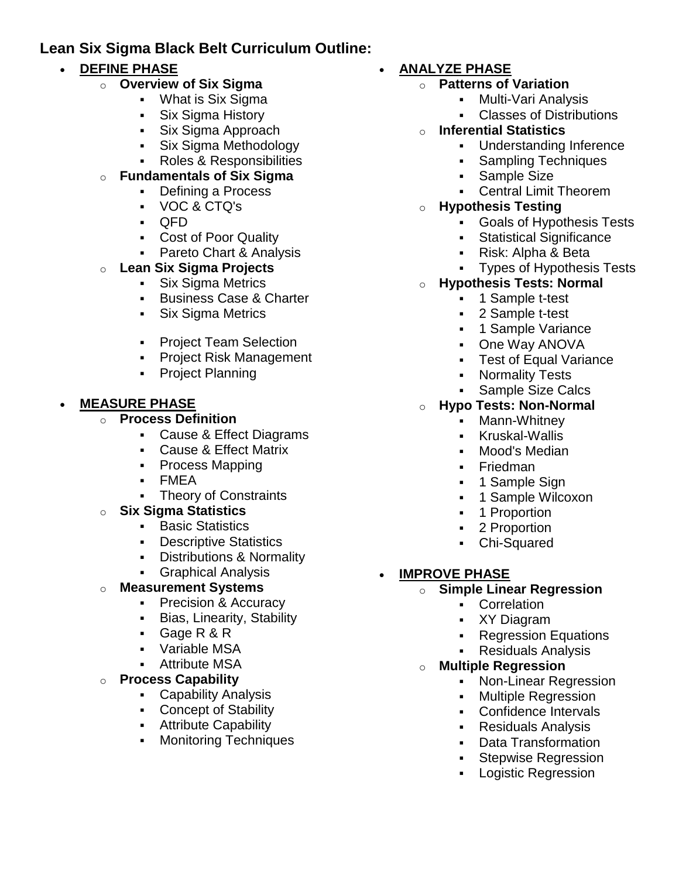# **Lean Six Sigma Black Belt Curriculum Outline:**

### **DEFINE PHASE**

- o **Overview of Six Sigma**
	- What is Six Sigma
		- Six Sigma History
	- **Six Sigma Approach**
	- Six Sigma Methodology
	- Roles & Responsibilities

#### o **Fundamentals of Six Sigma**

- Defining a Process
- VOC & CTQ's
- QFD
- Cost of Poor Quality
- **Pareto Chart & Analysis**
- o **Lean Six Sigma Projects**
	- **Six Sigma Metrics**
	- **Business Case & Charter**
	- Six Sigma Metrics
	- **-** Project Team Selection
	- **Project Risk Management**
	- Project Planning

## **MEASURE PHASE**

- o **Process Definition**
	- Cause & Effect Diagrams
	- Cause & Effect Matrix
	- Process Mapping
	- FMEA
	- Theory of Constraints

### o **Six Sigma Statistics**

- **Basic Statistics**
- **Descriptive Statistics**
- **-** Distributions & Normality
- **Graphical Analysis**

### **Measurement Systems**

- **Precision & Accuracy**
- **Bias, Linearity, Stability**
- Gage R & R
- Variable MSA
- Attribute MSA

### o **Process Capability**

- Capability Analysis
- Concept of Stability
- **Attribute Capability**
- **Monitoring Techniques**

# **ANALYZE PHASE**

- o **Patterns of Variation**
	- Multi-Vari Analysis
	- Classes of Distributions
- o **Inferential Statistics**
	- Understanding Inference
	- Sampling Techniques
	- Sample Size
	- Central Limit Theorem
	- o **Hypothesis Testing**
		- Goals of Hypothesis Tests
		- Statistical Significance
		- Risk: Alpha & Beta
		- Types of Hypothesis Tests
- o **Hypothesis Tests: Normal**
	- 1 Sample t-test
	- 2 Sample t-test
	- **1 Sample Variance**
	- One Way ANOVA
	- Test of Equal Variance
	- Normality Tests
	- Sample Size Calcs

### o **Hypo Tests: Non-Normal**

- Mann-Whitney
- Kruskal-Wallis
- Mood's Median
- **Friedman**
- **1 Sample Sign**
- 1 Sample Wilcoxon
- 1 Proportion
- 2 Proportion
- Chi-Squared
- **IMPROVE PHASE**
	- o **Simple Linear Regression**
		- **Correlation**
		- XY Diagram
		- Regression Equations
		- Residuals Analysis
	- o **Multiple Regression**
		- Non-Linear Regression
		- Multiple Regression
		- Confidence Intervals
		- Residuals Analysis
		- Data Transformation
		- **Stepwise Regression**
		- Logistic Regression